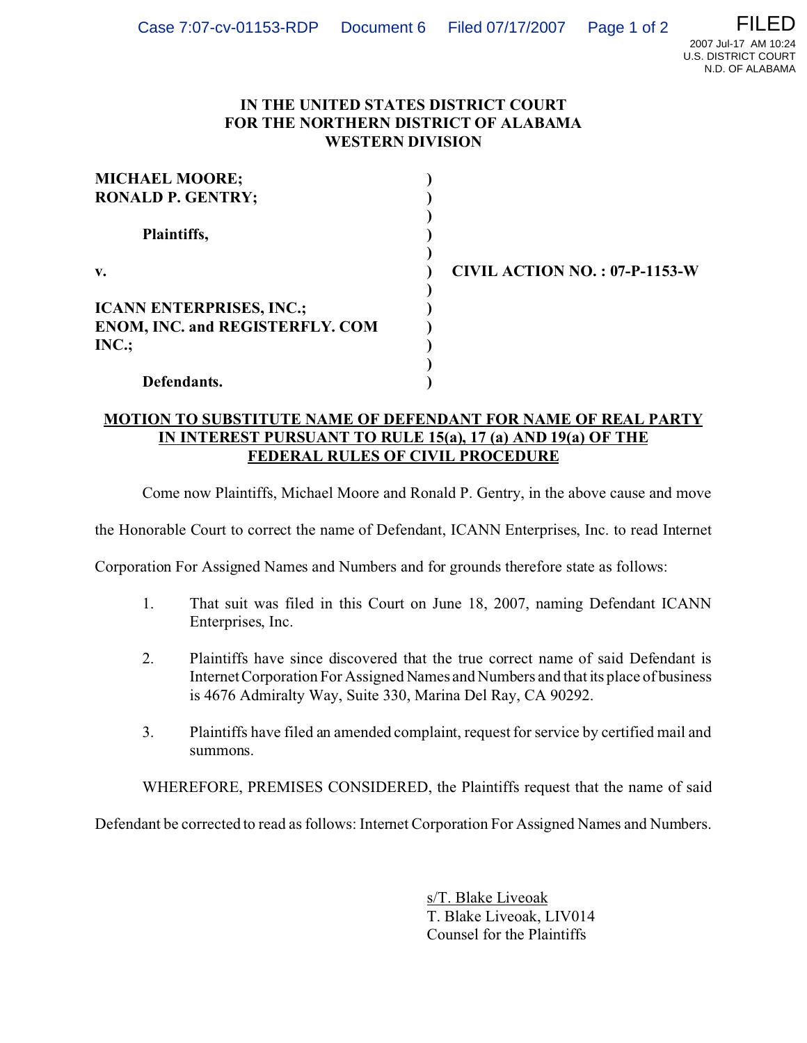## **IN THE UNITED STATES DISTRICT COURT FOR THE NORTHERN DISTRICT OF ALABAMA WESTERN DIVISION**

| <b>MICHAEL MOORE;</b>                  |              |
|----------------------------------------|--------------|
| <b>RONALD P. GENTRY;</b>               |              |
|                                        |              |
| Plaintiffs,                            |              |
|                                        |              |
| $V_{\bullet}$                          | <b>CIVIL</b> |
|                                        |              |
| <b>ICANN ENTERPRISES, INC.;</b>        |              |
| <b>ENOM, INC. and REGISTERFLY. COM</b> |              |
| INC.;                                  |              |
|                                        |              |
| Defendants.                            |              |

**v. ) CIVIL ACTION NO. : 07-P-1153-W**

## **MOTION TO SUBSTITUTE NAME OF DEFENDANT FOR NAME OF REAL PARTY IN INTEREST PURSUANT TO RULE 15(a), 17 (a) AND 19(a) OF THE FEDERAL RULES OF CIVIL PROCEDURE**

Come now Plaintiffs, Michael Moore and Ronald P. Gentry, in the above cause and move

the Honorable Court to correct the name of Defendant, ICANN Enterprises, Inc. to read Internet

Corporation For Assigned Names and Numbers and for grounds therefore state as follows:

- 1. That suit was filed in this Court on June 18, 2007, naming Defendant ICANN Enterprises, Inc.
- 2. Plaintiffs have since discovered that the true correct name of said Defendant is Internet Corporation For Assigned Names and Numbers and that its place of business is 4676 Admiralty Way, Suite 330, Marina Del Ray, CA 90292.
- 3. Plaintiffs have filed an amended complaint, request for service by certified mail and summons.

WHEREFORE, PREMISES CONSIDERED, the Plaintiffs request that the name of said

Defendant be corrected to read as follows: Internet Corporation For Assigned Names and Numbers.

s/T. Blake Liveoak T. Blake Liveoak, LIV014 Counsel for the Plaintiffs